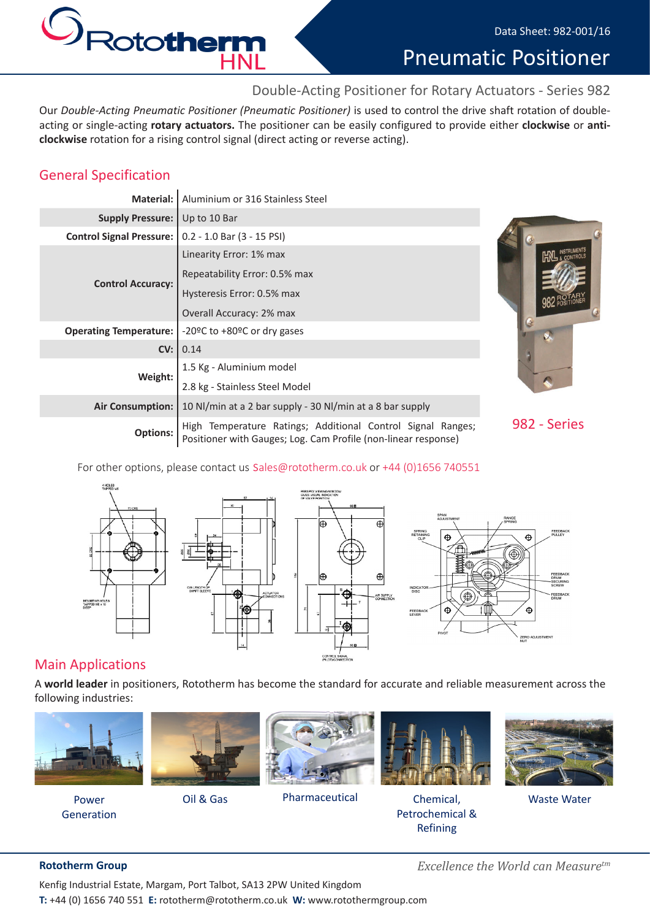

Pneumatic Positioner

# Double-Acting Positioner for Rotary Actuators - Series 982

Our *Double-Acting Pneumatic Positioner (Pneumatic Positioner)* is used to control the drive shaft rotation of doubleacting or single-acting **rotary actuators.** The positioner can be easily configured to provide either **clockwise** or **anticlockwise** rotation for a rising control signal (direct acting or reverse acting).

## General Specification

| Material:                       | Aluminium or 316 Stainless Steel                                                                                              |              |
|---------------------------------|-------------------------------------------------------------------------------------------------------------------------------|--------------|
| <b>Supply Pressure:</b>         | Up to 10 Bar                                                                                                                  |              |
| <b>Control Signal Pressure:</b> | $0.2 - 1.0$ Bar $(3 - 15$ PSI)                                                                                                |              |
| <b>Control Accuracy:</b>        | Linearity Error: 1% max<br>Repeatability Error: 0.5% max                                                                      |              |
|                                 | Hysteresis Error: 0.5% max<br>Overall Accuracy: 2% max                                                                        |              |
| <b>Operating Temperature:</b>   | -20°C to +80°C or dry gases                                                                                                   |              |
| CV:                             | 0.14                                                                                                                          |              |
| Weight:                         | 1.5 Kg - Aluminium model                                                                                                      |              |
|                                 | 2.8 kg - Stainless Steel Model                                                                                                |              |
| <b>Air Consumption:</b>         | 10 Nl/min at a 2 bar supply - 30 Nl/min at a 8 bar supply                                                                     |              |
| <b>Options:</b>                 | High Temperature Ratings; Additional Control Signal Ranges;<br>Positioner with Gauges; Log. Cam Profile (non-linear response) | 982 - Series |



For other options, please contact us sales@rototherm.co.uk or +44 (0)1656 740551



# Main Applications

A **world leader** in positioners, Rototherm has become the standard for accurate and reliable measurement across the following industries:



Generation



Oil & Gas



Pharmaceutical Chemical,



Petrochemical & Refining Power **COMECT COMECT COMECT COMECT** Pharmaceutical **Chemical**, Chemical, Waste Water



**Rototherm Group** *Excellence the World can Measuretm*

Kenfig Industrial Estate, Margam, Port Talbot, SA13 2PW United Kingdom **T:** +44 (0) 1656 740 551 **E:** rototherm@rototherm.co.uk **W:** www.rotothermgroup.com